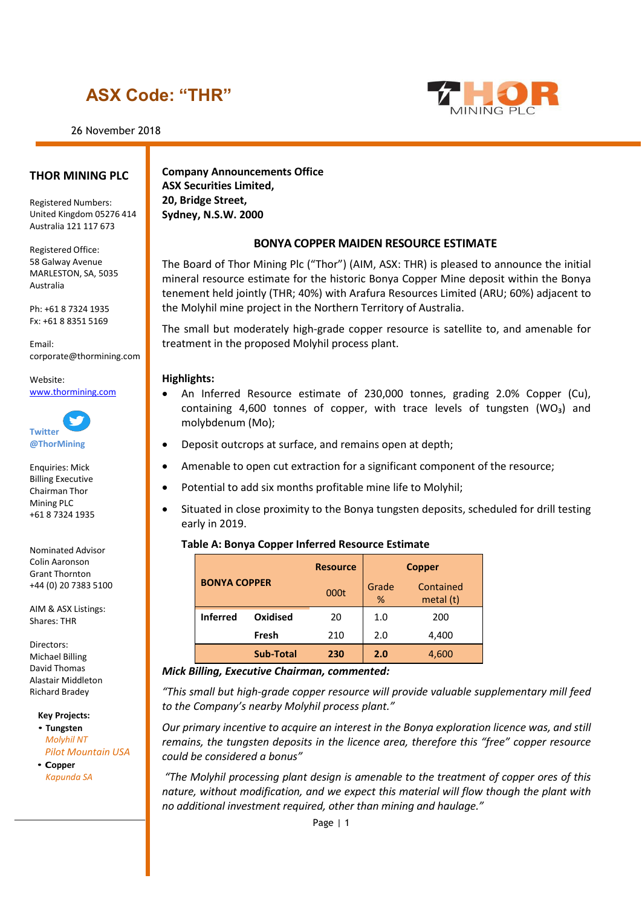# **ASX Code: "THR"**

26 November 2018



#### **THOR MINING PLC**

Registered Numbers: United Kingdom 05276 414 Australia 121 117 673

Registered Office: 58 Galway Avenue MARLESTON, SA, 5035 Australia

Ph: +61 8 7324 1935 Fx: +61 8 8351 5169

Email: [corporate@thormining.com](mailto:corporate@thormining.com)

Website: [www.thormining.com](http://www.thormining.com/)



Enquiries: Mick Billing Executive Chairman Thor Mining PLC +61 8 7324 1935

Nominated Advisor Colin Aaronson Grant Thornton +44 (0) 20 7383 5100

AIM & ASX Listings: Shares: THR

Directors: Michael Billing David Thomas Alastair Middleton Richard Bradey

**Key Projects:**

• **Tungsten** *Molyhil NT Pilot Mountain USA*

• **Copper** *Kapunda SA*

**Company Announcements Office ASX Securities Limited, 20, Bridge Street, Sydney, N.S.W. 2000**

#### **BONYA COPPER MAIDEN RESOURCE ESTIMATE**

The Board of Thor Mining Plc ("Thor") (AIM, ASX: THR) is pleased to announce the initial mineral resource estimate for the historic Bonya Copper Mine deposit within the Bonya tenement held jointly (THR; 40%) with Arafura Resources Limited (ARU; 60%) adjacent to the Molyhil mine project in the Northern Territory of Australia.

The small but moderately high-grade copper resource is satellite to, and amenable for treatment in the proposed Molyhil process plant.

#### **Highlights:**

- An Inferred Resource estimate of 230,000 tonnes, grading 2.0% Copper (Cu), containing 4,600 tonnes of copper, with trace levels of tungsten (WO₃) and molybdenum (Mo);
- Deposit outcrops at surface, and remains open at depth;
- Amenable to open cut extraction for a significant component of the resource;
- Potential to add six months profitable mine life to Molyhil;
- Situated in close proximity to the Bonya tungsten deposits, scheduled for drill testing early in 2019.

#### **Table A: Bonya Copper Inferred Resource Estimate**

| <b>BONYA COPPER</b> |                  | <b>Resource</b> | <b>Copper</b> |                        |  |  |
|---------------------|------------------|-----------------|---------------|------------------------|--|--|
|                     |                  | 000t            | Grade<br>%    | Contained<br>metal (t) |  |  |
| <b>Inferred</b>     | Oxidised         | 20              | 1.0           | 200                    |  |  |
| Fresh               |                  | 210             | 2.0           | 4,400                  |  |  |
|                     | <b>Sub-Total</b> | 230             | 2.0           | 4,600                  |  |  |

#### *Mick Billing, Executive Chairman, commented:*

*"This small but high-grade copper resource will provide valuable supplementary mill feed to the Company's nearby Molyhil process plant."*

*Our primary incentive to acquire an interest in the Bonya exploration licence was, and still remains, the tungsten deposits in the licence area, therefore this "free" copper resource could be considered a bonus"*

*"The Molyhil processing plant design is amenable to the treatment of copper ores of this nature, without modification, and we expect this material will flow though the plant with no additional investment required, other than mining and haulage."*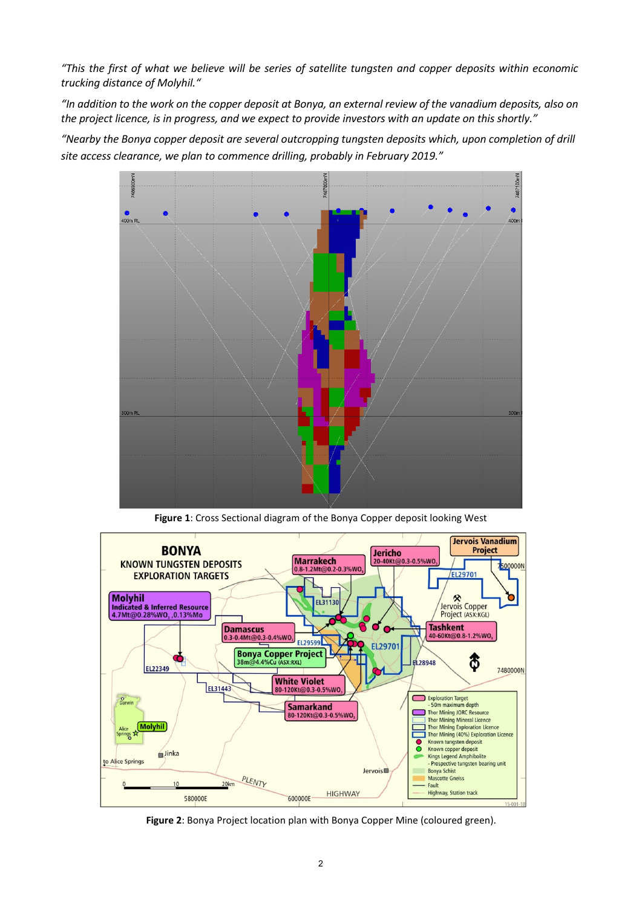*"This the first of what we believe will be series of satellite tungsten and copper deposits within economic trucking distance of Molyhil."*

*"In addition to the work on the copper deposit at Bonya, an external review of the vanadium deposits, also on the project licence, is in progress, and we expect to provide investors with an update on this shortly."* 

*"Nearby the Bonya copper deposit are several outcropping tungsten deposits which, upon completion of drill site access clearance, we plan to commence drilling, probably in February 2019."*



**Figure 1**: Cross Sectional diagram of the Bonya Copper deposit looking West



**Figure 2**: Bonya Project location plan with Bonya Copper Mine (coloured green).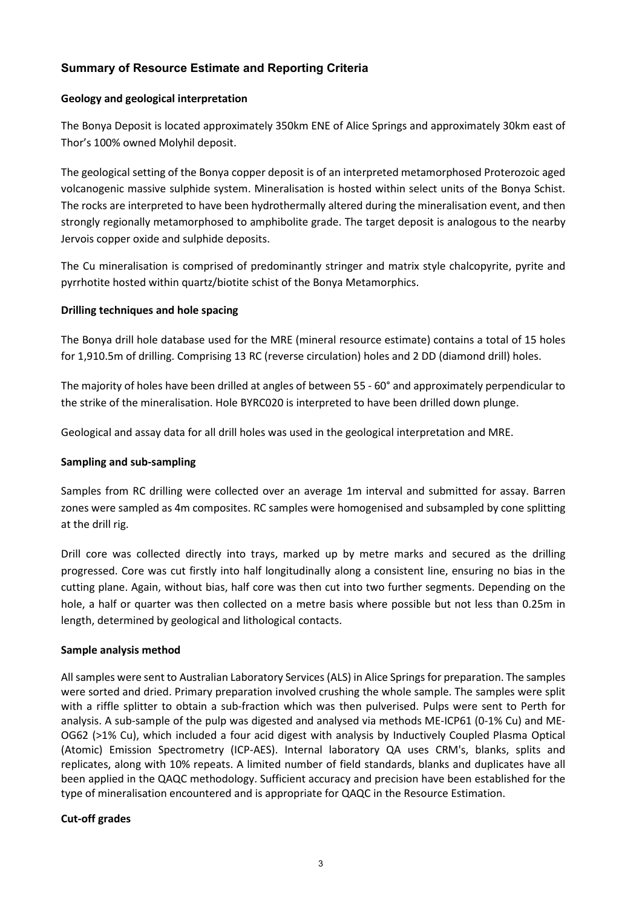## **Summary of Resource Estimate and Reporting Criteria**

### **Geology and geological interpretation**

The Bonya Deposit is located approximately 350km ENE of Alice Springs and approximately 30km east of Thor's 100% owned Molyhil deposit.

The geological setting of the Bonya copper deposit is of an interpreted metamorphosed Proterozoic aged volcanogenic massive sulphide system. Mineralisation is hosted within select units of the Bonya Schist. The rocks are interpreted to have been hydrothermally altered during the mineralisation event, and then strongly regionally metamorphosed to amphibolite grade. The target deposit is analogous to the nearby Jervois copper oxide and sulphide deposits.

The Cu mineralisation is comprised of predominantly stringer and matrix style chalcopyrite, pyrite and pyrrhotite hosted within quartz/biotite schist of the Bonya Metamorphics.

### **Drilling techniques and hole spacing**

The Bonya drill hole database used for the MRE (mineral resource estimate) contains a total of 15 holes for 1,910.5m of drilling. Comprising 13 RC (reverse circulation) holes and 2 DD (diamond drill) holes.

The majority of holes have been drilled at angles of between 55 - 60° and approximately perpendicular to the strike of the mineralisation. Hole BYRC020 is interpreted to have been drilled down plunge.

Geological and assay data for all drill holes was used in the geological interpretation and MRE.

#### **Sampling and sub-sampling**

Samples from RC drilling were collected over an average 1m interval and submitted for assay. Barren zones were sampled as 4m composites. RC samples were homogenised and subsampled by cone splitting at the drill rig.

Drill core was collected directly into trays, marked up by metre marks and secured as the drilling progressed. Core was cut firstly into half longitudinally along a consistent line, ensuring no bias in the cutting plane. Again, without bias, half core was then cut into two further segments. Depending on the hole, a half or quarter was then collected on a metre basis where possible but not less than 0.25m in length, determined by geological and lithological contacts.

#### **Sample analysis method**

All samples were sent to Australian Laboratory Services (ALS) in Alice Springs for preparation. The samples were sorted and dried. Primary preparation involved crushing the whole sample. The samples were split with a riffle splitter to obtain a sub-fraction which was then pulverised. Pulps were sent to Perth for analysis. A sub-sample of the pulp was digested and analysed via methods ME-ICP61 (0-1% Cu) and ME-OG62 (>1% Cu), which included a four acid digest with analysis by Inductively Coupled Plasma Optical (Atomic) Emission Spectrometry (ICP-AES). Internal laboratory QA uses CRM's, blanks, splits and replicates, along with 10% repeats. A limited number of field standards, blanks and duplicates have all been applied in the QAQC methodology. Sufficient accuracy and precision have been established for the type of mineralisation encountered and is appropriate for QAQC in the Resource Estimation.

## **Cut-off grades**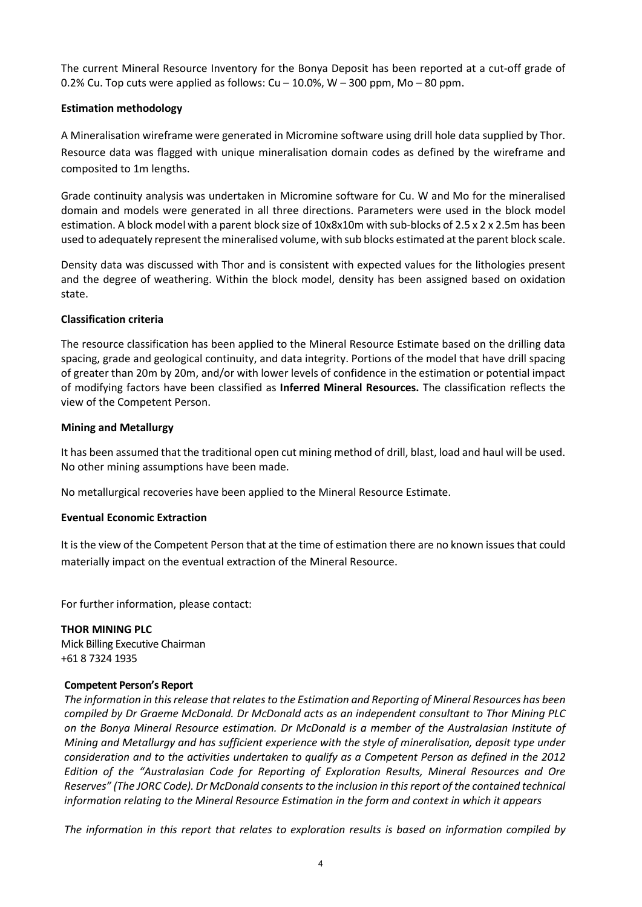The current Mineral Resource Inventory for the Bonya Deposit has been reported at a cut-off grade of 0.2% Cu. Top cuts were applied as follows:  $Cu - 10.0$ %, W  $- 300$  ppm, Mo  $- 80$  ppm.

#### **Estimation methodology**

A Mineralisation wireframe were generated in Micromine software using drill hole data supplied by Thor. Resource data was flagged with unique mineralisation domain codes as defined by the wireframe and composited to 1m lengths.

Grade continuity analysis was undertaken in Micromine software for Cu. W and Mo for the mineralised domain and models were generated in all three directions. Parameters were used in the block model estimation. A block model with a parent block size of 10x8x10m with sub-blocks of 2.5 x 2 x 2.5m has been used to adequately represent the mineralised volume, with sub blocks estimated at the parent block scale.

Density data was discussed with Thor and is consistent with expected values for the lithologies present and the degree of weathering. Within the block model, density has been assigned based on oxidation state.

#### **Classification criteria**

The resource classification has been applied to the Mineral Resource Estimate based on the drilling data spacing, grade and geological continuity, and data integrity. Portions of the model that have drill spacing of greater than 20m by 20m, and/or with lower levels of confidence in the estimation or potential impact of modifying factors have been classified as **Inferred Mineral Resources.** The classification reflects the view of the Competent Person.

### **Mining and Metallurgy**

It has been assumed that the traditional open cut mining method of drill, blast, load and haul will be used. No other mining assumptions have been made.

No metallurgical recoveries have been applied to the Mineral Resource Estimate.

#### **Eventual Economic Extraction**

It is the view of the Competent Person that at the time of estimation there are no known issues that could materially impact on the eventual extraction of the Mineral Resource.

For further information, please contact:

**THOR MINING PLC** Mick Billing Executive Chairman +61 8 7324 1935

#### **Competent Person's Report**

*The information in this release that relates to the Estimation and Reporting of Mineral Resources has been compiled by Dr Graeme McDonald. Dr McDonald acts as an independent consultant to Thor Mining PLC on the Bonya Mineral Resource estimation. Dr McDonald is a member of the Australasian Institute of Mining and Metallurgy and has sufficient experience with the style of mineralisation, deposit type under consideration and to the activities undertaken to qualify as a Competent Person as defined in the 2012 Edition of the "Australasian Code for Reporting of Exploration Results, Mineral Resources and Ore Reserves" (The JORC Code). Dr McDonald consents to the inclusion in this report of the contained technical information relating to the Mineral Resource Estimation in the form and context in which it appears*

*The information in this report that relates to exploration results is based on information compiled by*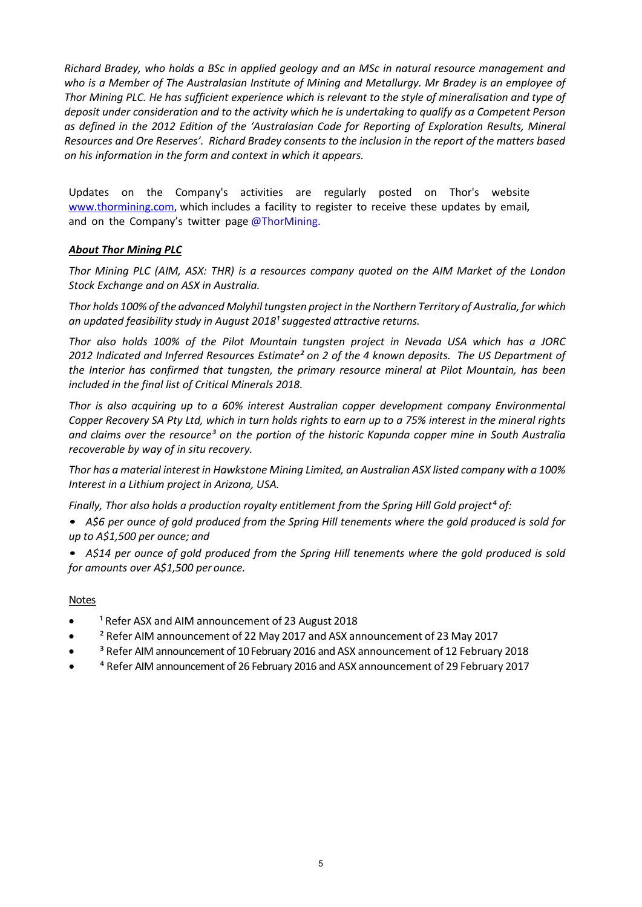*Richard Bradey, who holds a BSc in applied geology and an MSc in natural resource management and who is a Member of The Australasian Institute of Mining and Metallurgy. Mr Bradey is an employee of Thor Mining PLC. He has sufficient experience which is relevant to the style of mineralisation and type of deposit under consideration and to the activity which he is undertaking to qualify as a Competent Person as defined in the 2012 Edition of the 'Australasian Code for Reporting of Exploration Results, Mineral Resources and Ore Reserves'. Richard Bradey consents to the inclusion in the report of the matters based on his information in the form and context in which it appears.*

Updates on the Company's activities are regularly posted on Thor's website [www.thormining.com,](http://www.thormining.com/) which includes a facility to register to receive these updates by email, and on the Company's twitter page @ThorMining.

### *About Thor Mining PLC*

*Thor Mining PLC (AIM, ASX: THR) is a resources company quoted on the AIM Market of the London Stock Exchange and on ASX in Australia.*

*Thor holds 100% ofthe advanced Molyhil tungsten project in the Northern Territory of Australia, for which*  an *updated feasibility study in August 2018<sup>1</sup> suggested attractive returns.* 

*Thor also holds 100% of the Pilot Mountain tungsten project in Nevada USA which has a JORC 2012 Indicated and Inferred Resources Estimate² on 2 of the 4 known deposits. The US Department of the Interior has confirmed that tungsten, the primary resource mineral at Pilot Mountain, has been included in the final list of Critical Minerals 2018.*

*Thor is also acquiring up to a 60% interest Australian copper development company Environmental* Copper Recovery SA Pty Ltd, which in turn holds rights to earn up to a 75% interest in the mineral rights *and claims over the resource³ on the portion of the historic Kapunda copper mine in South Australia recoverable by way of in situ recovery.* 

*Thor has a material interest in Hawkstone Mining Limited, an Australian ASX listed company with a 100% Interest in a Lithium project in Arizona, USA.*

*Finally, Thor also holds a production royalty entitlement from the Spring Hill Gold project⁴ of:*

- A\$6 per ounce of gold produced from the Spring Hill tenements where the gold produced is sold for *up to A\$1,500 per ounce; and*
- *A\$14 per ounce of gold produced from the Spring Hill tenements where the gold produced is sold for amounts over A\$1,500 per ounce.*

#### Notes

- <sup>1</sup> Refer ASX and AIM announcement of 23 August 2018
- ² Refer AIM announcement of 22 May 2017 and ASX announcement of 23 May 2017
- <sup>3</sup> Refer AIM announcement of 10 February 2016 and ASX announcement of 12 February 2018
- ⁴ Refer AIM announcement of 26 February 2016 and ASX announcement of 29 February 2017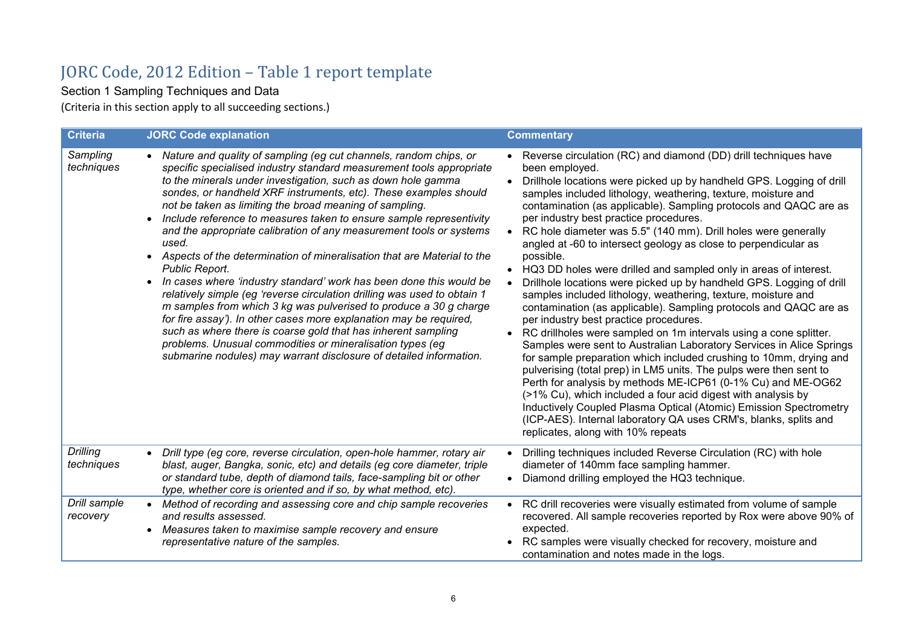# JORC Code, 2012 Edition – Table 1 report template

Section 1 Sampling Techniques and Data

(Criteria in this section apply to all succeeding sections.)

| <b>Criteria</b>               | <b>JORC Code explanation</b>                                                                                                                                                                                                                                                                                                                                                                                                                                                                                                                                                                                                                                                                                                                                                                                                                                                                                                                                                                                                                                                                                                    | <b>Commentary</b>                                                                                                                                                                                                                                                                                                                                                                                                                                                                                                                                                                                                                                                                                                                                                                                                                                                                                                                                                                                                                                                                                                                                                                                                                                                                                                                                                                                                                              |
|-------------------------------|---------------------------------------------------------------------------------------------------------------------------------------------------------------------------------------------------------------------------------------------------------------------------------------------------------------------------------------------------------------------------------------------------------------------------------------------------------------------------------------------------------------------------------------------------------------------------------------------------------------------------------------------------------------------------------------------------------------------------------------------------------------------------------------------------------------------------------------------------------------------------------------------------------------------------------------------------------------------------------------------------------------------------------------------------------------------------------------------------------------------------------|------------------------------------------------------------------------------------------------------------------------------------------------------------------------------------------------------------------------------------------------------------------------------------------------------------------------------------------------------------------------------------------------------------------------------------------------------------------------------------------------------------------------------------------------------------------------------------------------------------------------------------------------------------------------------------------------------------------------------------------------------------------------------------------------------------------------------------------------------------------------------------------------------------------------------------------------------------------------------------------------------------------------------------------------------------------------------------------------------------------------------------------------------------------------------------------------------------------------------------------------------------------------------------------------------------------------------------------------------------------------------------------------------------------------------------------------|
| Sampling<br>techniques        | Nature and quality of sampling (eg cut channels, random chips, or<br>specific specialised industry standard measurement tools appropriate<br>to the minerals under investigation, such as down hole gamma<br>sondes, or handheld XRF instruments, etc). These examples should<br>not be taken as limiting the broad meaning of sampling.<br>Include reference to measures taken to ensure sample representivity<br>$\bullet$<br>and the appropriate calibration of any measurement tools or systems<br>used.<br>Aspects of the determination of mineralisation that are Material to the<br>$\bullet$<br><b>Public Report.</b><br>In cases where 'industry standard' work has been done this would be<br>relatively simple (eg 'reverse circulation drilling was used to obtain 1<br>m samples from which 3 kg was pulverised to produce a 30 g charge<br>for fire assay'). In other cases more explanation may be required,<br>such as where there is coarse gold that has inherent sampling<br>problems. Unusual commodities or mineralisation types (eg<br>submarine nodules) may warrant disclosure of detailed information. | Reverse circulation (RC) and diamond (DD) drill techniques have<br>been employed.<br>Drillhole locations were picked up by handheld GPS. Logging of drill<br>$\bullet$<br>samples included lithology, weathering, texture, moisture and<br>contamination (as applicable). Sampling protocols and QAQC are as<br>per industry best practice procedures.<br>RC hole diameter was 5.5" (140 mm). Drill holes were generally<br>angled at -60 to intersect geology as close to perpendicular as<br>possible.<br>HQ3 DD holes were drilled and sampled only in areas of interest.<br>Drillhole locations were picked up by handheld GPS. Logging of drill<br>samples included lithology, weathering, texture, moisture and<br>contamination (as applicable). Sampling protocols and QAQC are as<br>per industry best practice procedures.<br>• RC drillholes were sampled on 1m intervals using a cone splitter.<br>Samples were sent to Australian Laboratory Services in Alice Springs<br>for sample preparation which included crushing to 10mm, drying and<br>pulverising (total prep) in LM5 units. The pulps were then sent to<br>Perth for analysis by methods ME-ICP61 (0-1% Cu) and ME-OG62<br>(>1% Cu), which included a four acid digest with analysis by<br>Inductively Coupled Plasma Optical (Atomic) Emission Spectrometry<br>(ICP-AES). Internal laboratory QA uses CRM's, blanks, splits and<br>replicates, along with 10% repeats |
| <b>Drilling</b><br>techniques | Drill type (eg core, reverse circulation, open-hole hammer, rotary air<br>$\bullet$<br>blast, auger, Bangka, sonic, etc) and details (eg core diameter, triple<br>or standard tube, depth of diamond tails, face-sampling bit or other<br>type, whether core is oriented and if so, by what method, etc).                                                                                                                                                                                                                                                                                                                                                                                                                                                                                                                                                                                                                                                                                                                                                                                                                       | Drilling techniques included Reverse Circulation (RC) with hole<br>diameter of 140mm face sampling hammer.<br>• Diamond drilling employed the HQ3 technique.                                                                                                                                                                                                                                                                                                                                                                                                                                                                                                                                                                                                                                                                                                                                                                                                                                                                                                                                                                                                                                                                                                                                                                                                                                                                                   |
| Drill sample<br>recovery      | • Method of recording and assessing core and chip sample recoveries<br>and results assessed.<br>Measures taken to maximise sample recovery and ensure<br>$\bullet$<br>representative nature of the samples.                                                                                                                                                                                                                                                                                                                                                                                                                                                                                                                                                                                                                                                                                                                                                                                                                                                                                                                     | RC drill recoveries were visually estimated from volume of sample<br>recovered. All sample recoveries reported by Rox were above 90% of<br>expected.<br>RC samples were visually checked for recovery, moisture and<br>contamination and notes made in the logs.                                                                                                                                                                                                                                                                                                                                                                                                                                                                                                                                                                                                                                                                                                                                                                                                                                                                                                                                                                                                                                                                                                                                                                               |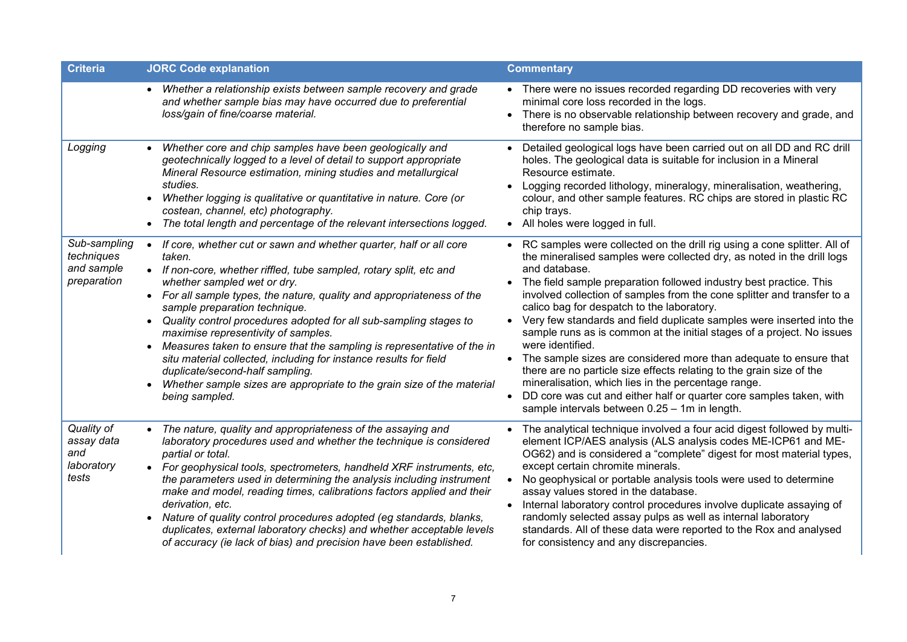| <b>Criteria</b>                                         | <b>JORC Code explanation</b>                                                                                                                                                                                                                                                                                                                                                                                                                                                                                                                                                                                                                                                                                                                | <b>Commentary</b>                                                                                                                                                                                                                                                                                                                                                                                                                                                                                                                                                                                                                                                                                                                                                                                                                                                                               |
|---------------------------------------------------------|---------------------------------------------------------------------------------------------------------------------------------------------------------------------------------------------------------------------------------------------------------------------------------------------------------------------------------------------------------------------------------------------------------------------------------------------------------------------------------------------------------------------------------------------------------------------------------------------------------------------------------------------------------------------------------------------------------------------------------------------|-------------------------------------------------------------------------------------------------------------------------------------------------------------------------------------------------------------------------------------------------------------------------------------------------------------------------------------------------------------------------------------------------------------------------------------------------------------------------------------------------------------------------------------------------------------------------------------------------------------------------------------------------------------------------------------------------------------------------------------------------------------------------------------------------------------------------------------------------------------------------------------------------|
|                                                         | • Whether a relationship exists between sample recovery and grade<br>and whether sample bias may have occurred due to preferential<br>loss/gain of fine/coarse material.                                                                                                                                                                                                                                                                                                                                                                                                                                                                                                                                                                    | • There were no issues recorded regarding DD recoveries with very<br>minimal core loss recorded in the logs.<br>There is no observable relationship between recovery and grade, and<br>$\bullet$<br>therefore no sample bias.                                                                                                                                                                                                                                                                                                                                                                                                                                                                                                                                                                                                                                                                   |
| Logging                                                 | Whether core and chip samples have been geologically and<br>$\bullet$<br>geotechnically logged to a level of detail to support appropriate<br>Mineral Resource estimation, mining studies and metallurgical<br>studies.<br>Whether logging is qualitative or quantitative in nature. Core (or<br>$\bullet$<br>costean, channel, etc) photography.<br>The total length and percentage of the relevant intersections logged.<br>$\bullet$                                                                                                                                                                                                                                                                                                     | Detailed geological logs have been carried out on all DD and RC drill<br>holes. The geological data is suitable for inclusion in a Mineral<br>Resource estimate.<br>Logging recorded lithology, mineralogy, mineralisation, weathering,<br>colour, and other sample features. RC chips are stored in plastic RC<br>chip trays.<br>All holes were logged in full.                                                                                                                                                                                                                                                                                                                                                                                                                                                                                                                                |
| Sub-sampling<br>techniques<br>and sample<br>preparation | If core, whether cut or sawn and whether quarter, half or all core<br>$\bullet$<br>taken.<br>• If non-core, whether riffled, tube sampled, rotary split, etc and<br>whether sampled wet or dry.<br>• For all sample types, the nature, quality and appropriateness of the<br>sample preparation technique.<br>Quality control procedures adopted for all sub-sampling stages to<br>$\bullet$<br>maximise representivity of samples.<br>Measures taken to ensure that the sampling is representative of the in<br>$\bullet$<br>situ material collected, including for instance results for field<br>duplicate/second-half sampling.<br>Whether sample sizes are appropriate to the grain size of the material<br>$\bullet$<br>being sampled. | RC samples were collected on the drill rig using a cone splitter. All of<br>the mineralised samples were collected dry, as noted in the drill logs<br>and database.<br>The field sample preparation followed industry best practice. This<br>involved collection of samples from the cone splitter and transfer to a<br>calico bag for despatch to the laboratory.<br>Very few standards and field duplicate samples were inserted into the<br>sample runs as is common at the initial stages of a project. No issues<br>were identified.<br>The sample sizes are considered more than adequate to ensure that<br>$\bullet$<br>there are no particle size effects relating to the grain size of the<br>mineralisation, which lies in the percentage range.<br>DD core was cut and either half or quarter core samples taken, with<br>$\bullet$<br>sample intervals between 0.25 - 1m in length. |
| Quality of<br>assay data<br>and<br>laboratory<br>tests  | The nature, quality and appropriateness of the assaying and<br>$\bullet$<br>laboratory procedures used and whether the technique is considered<br>partial or total.<br>• For geophysical tools, spectrometers, handheld XRF instruments, etc,<br>the parameters used in determining the analysis including instrument<br>make and model, reading times, calibrations factors applied and their<br>derivation, etc.<br>Nature of quality control procedures adopted (eg standards, blanks,<br>$\bullet$<br>duplicates, external laboratory checks) and whether acceptable levels<br>of accuracy (ie lack of bias) and precision have been established.                                                                                       | The analytical technique involved a four acid digest followed by multi-<br>element ICP/AES analysis (ALS analysis codes ME-ICP61 and ME-<br>OG62) and is considered a "complete" digest for most material types,<br>except certain chromite minerals.<br>No geophysical or portable analysis tools were used to determine<br>assay values stored in the database.<br>Internal laboratory control procedures involve duplicate assaying of<br>randomly selected assay pulps as well as internal laboratory<br>standards. All of these data were reported to the Rox and analysed<br>for consistency and any discrepancies.                                                                                                                                                                                                                                                                       |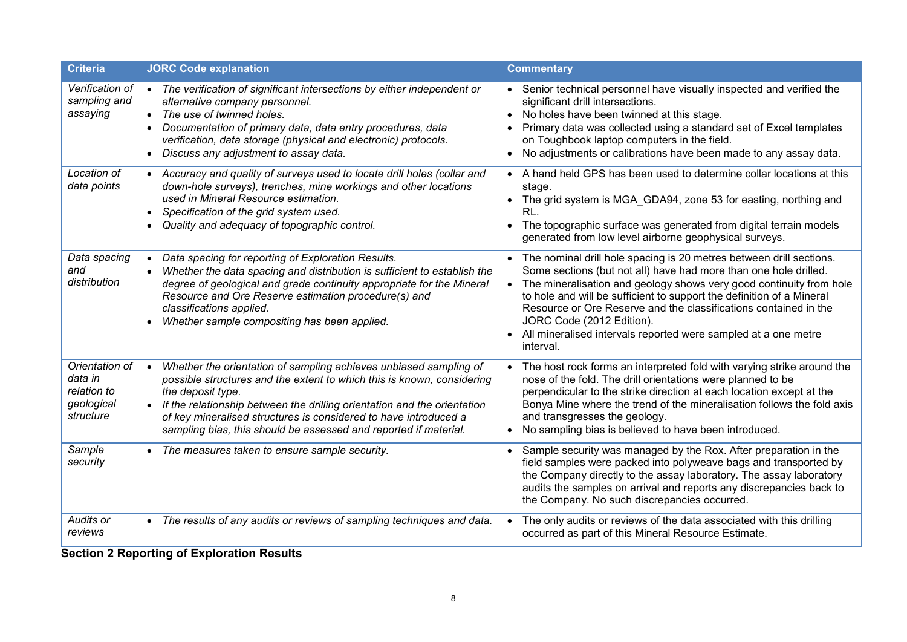| <b>Criteria</b>                                                     | <b>JORC Code explanation</b>                                                                                                                                                                                                                                                                                                                                                           | <b>Commentary</b>                                                                                                                                                                                                                                                                                                                                                                                                                                                           |
|---------------------------------------------------------------------|----------------------------------------------------------------------------------------------------------------------------------------------------------------------------------------------------------------------------------------------------------------------------------------------------------------------------------------------------------------------------------------|-----------------------------------------------------------------------------------------------------------------------------------------------------------------------------------------------------------------------------------------------------------------------------------------------------------------------------------------------------------------------------------------------------------------------------------------------------------------------------|
| Verification of<br>sampling and<br>assaying                         | The verification of significant intersections by either independent or<br>alternative company personnel.<br>• The use of twinned holes.<br>Documentation of primary data, data entry procedures, data<br>verification, data storage (physical and electronic) protocols.<br>Discuss any adjustment to assay data.<br>$\bullet$                                                         | • Senior technical personnel have visually inspected and verified the<br>significant drill intersections.<br>• No holes have been twinned at this stage.<br>Primary data was collected using a standard set of Excel templates<br>on Toughbook laptop computers in the field.<br>No adjustments or calibrations have been made to any assay data.<br>$\bullet$                                                                                                              |
| Location of<br>data points                                          | • Accuracy and quality of surveys used to locate drill holes (collar and<br>down-hole surveys), trenches, mine workings and other locations<br>used in Mineral Resource estimation.<br>Specification of the grid system used.<br>Quality and adequacy of topographic control.                                                                                                          | • A hand held GPS has been used to determine collar locations at this<br>stage.<br>The grid system is MGA_GDA94, zone 53 for easting, northing and<br>$\bullet$<br>RL.<br>The topographic surface was generated from digital terrain models<br>$\bullet$<br>generated from low level airborne geophysical surveys.                                                                                                                                                          |
| Data spacing<br>and<br>distribution                                 | Data spacing for reporting of Exploration Results.<br>$\bullet$<br>Whether the data spacing and distribution is sufficient to establish the<br>degree of geological and grade continuity appropriate for the Mineral<br>Resource and Ore Reserve estimation procedure(s) and<br>classifications applied.<br>Whether sample compositing has been applied.                               | • The nominal drill hole spacing is 20 metres between drill sections.<br>Some sections (but not all) have had more than one hole drilled.<br>The mineralisation and geology shows very good continuity from hole<br>to hole and will be sufficient to support the definition of a Mineral<br>Resource or Ore Reserve and the classifications contained in the<br>JORC Code (2012 Edition).<br>• All mineralised intervals reported were sampled at a one metre<br>interval. |
| Orientation of<br>data in<br>relation to<br>geological<br>structure | Whether the orientation of sampling achieves unbiased sampling of<br>possible structures and the extent to which this is known, considering<br>the deposit type.<br>• If the relationship between the drilling orientation and the orientation<br>of key mineralised structures is considered to have introduced a<br>sampling bias, this should be assessed and reported if material. | The host rock forms an interpreted fold with varying strike around the<br>nose of the fold. The drill orientations were planned to be<br>perpendicular to the strike direction at each location except at the<br>Bonya Mine where the trend of the mineralisation follows the fold axis<br>and transgresses the geology.<br>No sampling bias is believed to have been introduced.                                                                                           |
| Sample<br>security                                                  | The measures taken to ensure sample security.                                                                                                                                                                                                                                                                                                                                          | • Sample security was managed by the Rox. After preparation in the<br>field samples were packed into polyweave bags and transported by<br>the Company directly to the assay laboratory. The assay laboratory<br>audits the samples on arrival and reports any discrepancies back to<br>the Company. No such discrepancies occurred.                                                                                                                                         |
| Audits or<br>reviews                                                | • The results of any audits or reviews of sampling techniques and data.                                                                                                                                                                                                                                                                                                                | The only audits or reviews of the data associated with this drilling<br>occurred as part of this Mineral Resource Estimate.                                                                                                                                                                                                                                                                                                                                                 |

**Section 2 Reporting of Exploration Results**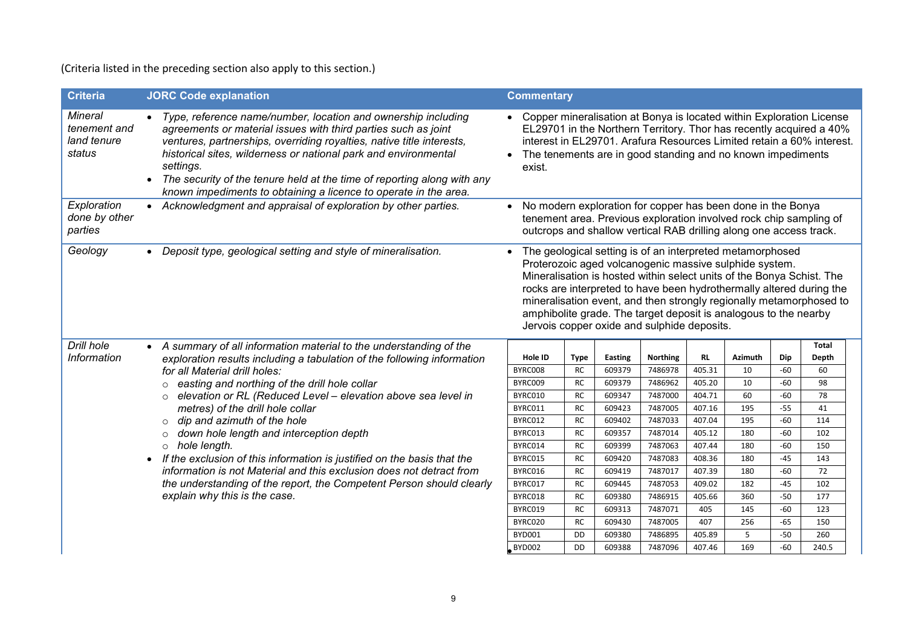(Criteria listed in the preceding section also apply to this section.)

| <b>Criteria</b>                                  | <b>JORC Code explanation</b>                                                                                                                                                                                                                                                                                                                                                                                                            | <b>Commentary</b>  |                          |                          |                                                                                                                                                                                                                                                                                                                 |                     |                      |              |                                                                                                                                                                                                                      |
|--------------------------------------------------|-----------------------------------------------------------------------------------------------------------------------------------------------------------------------------------------------------------------------------------------------------------------------------------------------------------------------------------------------------------------------------------------------------------------------------------------|--------------------|--------------------------|--------------------------|-----------------------------------------------------------------------------------------------------------------------------------------------------------------------------------------------------------------------------------------------------------------------------------------------------------------|---------------------|----------------------|--------------|----------------------------------------------------------------------------------------------------------------------------------------------------------------------------------------------------------------------|
| Mineral<br>tenement and<br>land tenure<br>status | Type, reference name/number, location and ownership including<br>agreements or material issues with third parties such as joint<br>ventures, partnerships, overriding royalties, native title interests,<br>historical sites, wilderness or national park and environmental<br>settings.<br>The security of the tenure held at the time of reporting along with any<br>known impediments to obtaining a licence to operate in the area. | exist.             |                          |                          | The tenements are in good standing and no known impediments                                                                                                                                                                                                                                                     |                     |                      |              | Copper mineralisation at Bonya is located within Exploration License<br>EL29701 in the Northern Territory. Thor has recently acquired a 40%<br>interest in EL29701. Arafura Resources Limited retain a 60% interest. |
| Exploration<br>done by other<br>parties          | • Acknowledgment and appraisal of exploration by other parties.                                                                                                                                                                                                                                                                                                                                                                         | $\bullet$          |                          |                          | No modern exploration for copper has been done in the Bonya<br>tenement area. Previous exploration involved rock chip sampling of<br>outcrops and shallow vertical RAB drilling along one access track.                                                                                                         |                     |                      |              |                                                                                                                                                                                                                      |
| Geology                                          | Deposit type, geological setting and style of mineralisation.<br>$\bullet$                                                                                                                                                                                                                                                                                                                                                              |                    |                          |                          | The geological setting is of an interpreted metamorphosed<br>Proterozoic aged volcanogenic massive sulphide system.<br>Mineralisation is hosted within select units of the Bonya Schist. The<br>amphibolite grade. The target deposit is analogous to the nearby<br>Jervois copper oxide and sulphide deposits. |                     |                      |              | rocks are interpreted to have been hydrothermally altered during the<br>mineralisation event, and then strongly regionally metamorphosed to                                                                          |
| Drill hole                                       | • A summary of all information material to the understanding of the                                                                                                                                                                                                                                                                                                                                                                     |                    |                          |                          |                                                                                                                                                                                                                                                                                                                 |                     |                      |              | Total                                                                                                                                                                                                                |
| Information                                      | exploration results including a tabulation of the following information                                                                                                                                                                                                                                                                                                                                                                 | Hole ID<br>BYRC008 | <b>Type</b><br><b>RC</b> | <b>Easting</b><br>609379 | <b>Northing</b><br>7486978                                                                                                                                                                                                                                                                                      | <b>RL</b><br>405.31 | <b>Azimuth</b><br>10 | Dip<br>$-60$ | Depth<br>60                                                                                                                                                                                                          |
|                                                  | for all Material drill holes:<br>o easting and northing of the drill hole collar                                                                                                                                                                                                                                                                                                                                                        | BYRC009            | <b>RC</b>                | 609379                   | 7486962                                                                                                                                                                                                                                                                                                         | 405.20              | 10                   | $-60$        | 98                                                                                                                                                                                                                   |
|                                                  | elevation or RL (Reduced Level - elevation above sea level in<br>$\circ$                                                                                                                                                                                                                                                                                                                                                                | BYRC010            | <b>RC</b>                | 609347                   | 7487000                                                                                                                                                                                                                                                                                                         | 404.71              | 60                   | -60          | 78                                                                                                                                                                                                                   |
|                                                  | metres) of the drill hole collar<br>dip and azimuth of the hole<br>$\circ$<br>down hole length and interception depth<br>$\circ$<br>$\circ$ hole length.                                                                                                                                                                                                                                                                                | BYRC011            | <b>RC</b>                | 609423                   | 7487005                                                                                                                                                                                                                                                                                                         | 407.16              | 195                  | $-55$        | 41                                                                                                                                                                                                                   |
|                                                  |                                                                                                                                                                                                                                                                                                                                                                                                                                         | BYRC012            | <b>RC</b>                | 609402                   | 7487033                                                                                                                                                                                                                                                                                                         | 407.04              | 195                  | $-60$        | 114                                                                                                                                                                                                                  |
|                                                  |                                                                                                                                                                                                                                                                                                                                                                                                                                         | BYRC013            | <b>RC</b>                | 609357                   | 7487014                                                                                                                                                                                                                                                                                                         | 405.12              | 180                  | $-60$        | 102                                                                                                                                                                                                                  |
|                                                  |                                                                                                                                                                                                                                                                                                                                                                                                                                         | BYRC014            | <b>RC</b>                | 609399                   | 7487063                                                                                                                                                                                                                                                                                                         | 407.44              | 180                  | $-60$        | 150                                                                                                                                                                                                                  |
|                                                  | • If the exclusion of this information is justified on the basis that the                                                                                                                                                                                                                                                                                                                                                               | BYRC015            | <b>RC</b>                | 609420                   | 7487083                                                                                                                                                                                                                                                                                                         | 408.36              | 180                  | $-45$        | 143                                                                                                                                                                                                                  |
|                                                  | information is not Material and this exclusion does not detract from                                                                                                                                                                                                                                                                                                                                                                    | BYRC016            | <b>RC</b>                | 609419                   | 7487017                                                                                                                                                                                                                                                                                                         | 407.39              | 180                  | -60          | 72                                                                                                                                                                                                                   |
|                                                  | the understanding of the report, the Competent Person should clearly<br>explain why this is the case.                                                                                                                                                                                                                                                                                                                                   | BYRC017            | <b>RC</b>                | 609445                   | 7487053                                                                                                                                                                                                                                                                                                         | 409.02              | 182                  | $-45$        | 102                                                                                                                                                                                                                  |
|                                                  |                                                                                                                                                                                                                                                                                                                                                                                                                                         | BYRC018            | <b>RC</b>                | 609380                   | 7486915                                                                                                                                                                                                                                                                                                         | 405.66              | 360                  | $-50$        | 177                                                                                                                                                                                                                  |
|                                                  |                                                                                                                                                                                                                                                                                                                                                                                                                                         | BYRC019            | <b>RC</b>                | 609313                   | 7487071                                                                                                                                                                                                                                                                                                         | 405                 | 145                  | $-60$        | 123                                                                                                                                                                                                                  |
|                                                  |                                                                                                                                                                                                                                                                                                                                                                                                                                         | BYRC020            | <b>RC</b>                | 609430                   | 7487005                                                                                                                                                                                                                                                                                                         | 407                 | 256                  | $-65$        | 150                                                                                                                                                                                                                  |
|                                                  |                                                                                                                                                                                                                                                                                                                                                                                                                                         | BYD001             | <b>DD</b>                | 609380                   | 7486895                                                                                                                                                                                                                                                                                                         | 405.89              | 5                    | $-50$        | 260                                                                                                                                                                                                                  |
|                                                  |                                                                                                                                                                                                                                                                                                                                                                                                                                         | <b>BYD002</b>      | <b>DD</b>                | 609388                   | 7487096                                                                                                                                                                                                                                                                                                         | 407.46              | 169                  | $-60$        | 240.5                                                                                                                                                                                                                |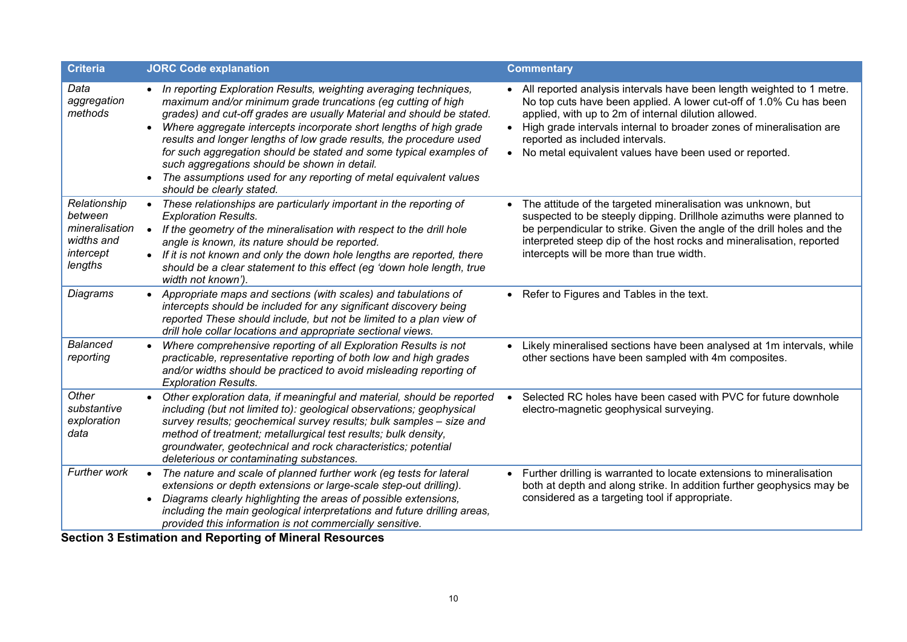| <b>Criteria</b>                                                                 | <b>JORC Code explanation</b>                                                                                                                                                                                                                                                                                                                                                                                                                                                                                                                                                                                | <b>Commentary</b>                                                                                                                                                                                                                                                                                                                                                              |
|---------------------------------------------------------------------------------|-------------------------------------------------------------------------------------------------------------------------------------------------------------------------------------------------------------------------------------------------------------------------------------------------------------------------------------------------------------------------------------------------------------------------------------------------------------------------------------------------------------------------------------------------------------------------------------------------------------|--------------------------------------------------------------------------------------------------------------------------------------------------------------------------------------------------------------------------------------------------------------------------------------------------------------------------------------------------------------------------------|
| Data<br>aggregation<br>methods                                                  | • In reporting Exploration Results, weighting averaging techniques,<br>maximum and/or minimum grade truncations (eg cutting of high<br>grades) and cut-off grades are usually Material and should be stated.<br>Where aggregate intercepts incorporate short lengths of high grade<br>$\bullet$<br>results and longer lengths of low grade results, the procedure used<br>for such aggregation should be stated and some typical examples of<br>such aggregations should be shown in detail.<br>The assumptions used for any reporting of metal equivalent values<br>$\bullet$<br>should be clearly stated. | • All reported analysis intervals have been length weighted to 1 metre.<br>No top cuts have been applied. A lower cut-off of 1.0% Cu has been<br>applied, with up to 2m of internal dilution allowed.<br>• High grade intervals internal to broader zones of mineralisation are<br>reported as included intervals.<br>• No metal equivalent values have been used or reported. |
| Relationship<br>between<br>mineralisation<br>widths and<br>intercept<br>lengths | These relationships are particularly important in the reporting of<br>$\bullet$<br><b>Exploration Results.</b><br>• If the geometry of the mineralisation with respect to the drill hole<br>angle is known, its nature should be reported.<br>• If it is not known and only the down hole lengths are reported, there<br>should be a clear statement to this effect (eg 'down hole length, true<br>width not known').                                                                                                                                                                                       | The attitude of the targeted mineralisation was unknown, but<br>suspected to be steeply dipping. Drillhole azimuths were planned to<br>be perpendicular to strike. Given the angle of the drill holes and the<br>interpreted steep dip of the host rocks and mineralisation, reported<br>intercepts will be more than true width.                                              |
| Diagrams                                                                        | • Appropriate maps and sections (with scales) and tabulations of<br>intercepts should be included for any significant discovery being<br>reported These should include, but not be limited to a plan view of<br>drill hole collar locations and appropriate sectional views.                                                                                                                                                                                                                                                                                                                                | • Refer to Figures and Tables in the text.                                                                                                                                                                                                                                                                                                                                     |
| <b>Balanced</b><br>reporting                                                    | Where comprehensive reporting of all Exploration Results is not<br>$\bullet$<br>practicable, representative reporting of both low and high grades<br>and/or widths should be practiced to avoid misleading reporting of<br><b>Exploration Results.</b>                                                                                                                                                                                                                                                                                                                                                      | • Likely mineralised sections have been analysed at 1m intervals, while<br>other sections have been sampled with 4m composites.                                                                                                                                                                                                                                                |
| Other<br>substantive<br>exploration<br>data                                     | Other exploration data, if meaningful and material, should be reported<br>including (but not limited to): geological observations; geophysical<br>survey results; geochemical survey results; bulk samples - size and<br>method of treatment; metallurgical test results; bulk density,<br>groundwater, geotechnical and rock characteristics; potential<br>deleterious or contaminating substances.                                                                                                                                                                                                        | Selected RC holes have been cased with PVC for future downhole<br>electro-magnetic geophysical surveying.                                                                                                                                                                                                                                                                      |
| Further work                                                                    | The nature and scale of planned further work (eg tests for lateral<br>$\bullet$<br>extensions or depth extensions or large-scale step-out drilling).<br>Diagrams clearly highlighting the areas of possible extensions,<br>$\bullet$<br>including the main geological interpretations and future drilling areas,<br>provided this information is not commercially sensitive.<br><b>Section 3 Estimation and Reporting of Mineral Resources</b>                                                                                                                                                              | • Further drilling is warranted to locate extensions to mineralisation<br>both at depth and along strike. In addition further geophysics may be<br>considered as a targeting tool if appropriate.                                                                                                                                                                              |

**Section 3 Estimation and Reporting of Mineral Resources**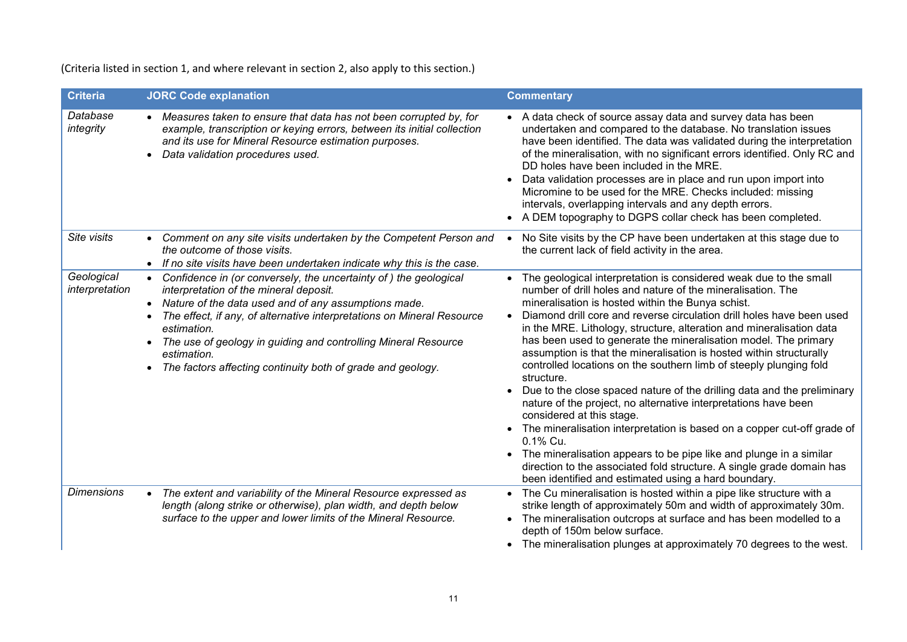(Criteria listed in section 1, and where relevant in section 2, also apply to this section.)

| <b>Criteria</b>              | <b>JORC Code explanation</b>                                                                                                                                                                                                                                                                                                                                                                                               | <b>Commentary</b>                                                                                                                                                                                                                                                                                                                                                                                                                                                                                                                                                                                                                                                                                                                                                                                                                                                                                                                                                                                                                                 |
|------------------------------|----------------------------------------------------------------------------------------------------------------------------------------------------------------------------------------------------------------------------------------------------------------------------------------------------------------------------------------------------------------------------------------------------------------------------|---------------------------------------------------------------------------------------------------------------------------------------------------------------------------------------------------------------------------------------------------------------------------------------------------------------------------------------------------------------------------------------------------------------------------------------------------------------------------------------------------------------------------------------------------------------------------------------------------------------------------------------------------------------------------------------------------------------------------------------------------------------------------------------------------------------------------------------------------------------------------------------------------------------------------------------------------------------------------------------------------------------------------------------------------|
| Database<br>integrity        | • Measures taken to ensure that data has not been corrupted by, for<br>example, transcription or keying errors, between its initial collection<br>and its use for Mineral Resource estimation purposes.<br>Data validation procedures used.                                                                                                                                                                                | • A data check of source assay data and survey data has been<br>undertaken and compared to the database. No translation issues<br>have been identified. The data was validated during the interpretation<br>of the mineralisation, with no significant errors identified. Only RC and<br>DD holes have been included in the MRE.<br>Data validation processes are in place and run upon import into<br>Micromine to be used for the MRE. Checks included: missing<br>intervals, overlapping intervals and any depth errors.<br>• A DEM topography to DGPS collar check has been completed.                                                                                                                                                                                                                                                                                                                                                                                                                                                        |
| Site visits                  | Comment on any site visits undertaken by the Competent Person and<br>$\bullet$<br>the outcome of those visits.<br>• If no site visits have been undertaken indicate why this is the case.                                                                                                                                                                                                                                  | No Site visits by the CP have been undertaken at this stage due to<br>the current lack of field activity in the area.                                                                                                                                                                                                                                                                                                                                                                                                                                                                                                                                                                                                                                                                                                                                                                                                                                                                                                                             |
| Geological<br>interpretation | Confidence in (or conversely, the uncertainty of) the geological<br>interpretation of the mineral deposit.<br>• Nature of the data used and of any assumptions made.<br>The effect, if any, of alternative interpretations on Mineral Resource<br>estimation.<br>The use of geology in guiding and controlling Mineral Resource<br>$\bullet$<br>estimation.<br>The factors affecting continuity both of grade and geology. | The geological interpretation is considered weak due to the small<br>number of drill holes and nature of the mineralisation. The<br>mineralisation is hosted within the Bunya schist.<br>Diamond drill core and reverse circulation drill holes have been used<br>in the MRE. Lithology, structure, alteration and mineralisation data<br>has been used to generate the mineralisation model. The primary<br>assumption is that the mineralisation is hosted within structurally<br>controlled locations on the southern limb of steeply plunging fold<br>structure.<br>Due to the close spaced nature of the drilling data and the preliminary<br>nature of the project, no alternative interpretations have been<br>considered at this stage.<br>• The mineralisation interpretation is based on a copper cut-off grade of<br>0.1% Cu.<br>• The mineralisation appears to be pipe like and plunge in a similar<br>direction to the associated fold structure. A single grade domain has<br>been identified and estimated using a hard boundary. |
| <b>Dimensions</b>            | The extent and variability of the Mineral Resource expressed as<br>$\bullet$<br>length (along strike or otherwise), plan width, and depth below<br>surface to the upper and lower limits of the Mineral Resource.                                                                                                                                                                                                          | • The Cu mineralisation is hosted within a pipe like structure with a<br>strike length of approximately 50m and width of approximately 30m.<br>• The mineralisation outcrops at surface and has been modelled to a<br>depth of 150m below surface.<br>• The mineralisation plunges at approximately 70 degrees to the west.                                                                                                                                                                                                                                                                                                                                                                                                                                                                                                                                                                                                                                                                                                                       |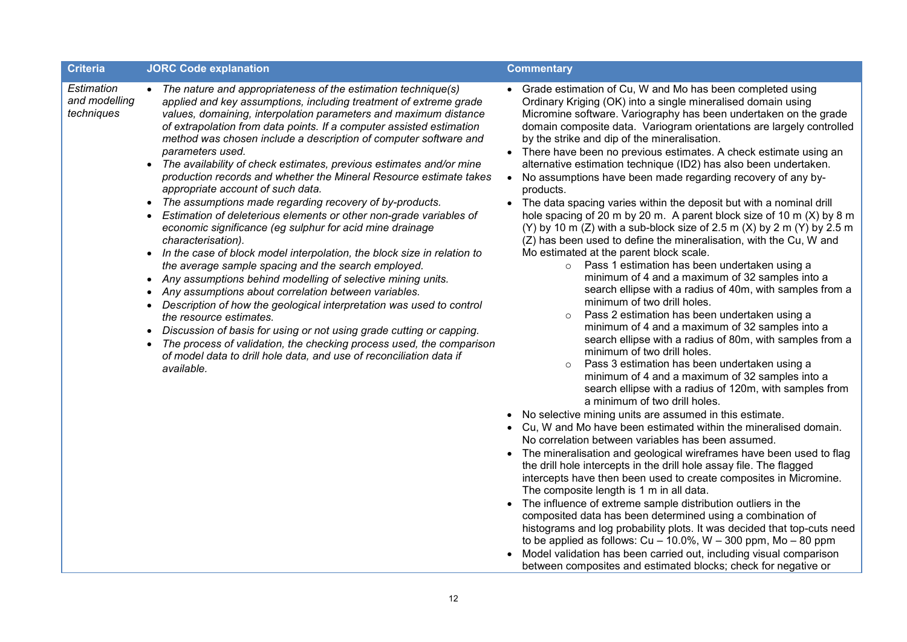| <b>Criteria</b>                           | <b>JORC Code explanation</b>                                                                                                                                                                                                                                                                                                                                                                                                                                                                                                                                                                                                                                                                                                                                                                                                                                                                                                                                                                                                                                                                                                                                                                                                                                                                                                                                                                                         | <b>Commentary</b>                                                                                                                                                                                                                                                                                                                                                                                                                                                                                                                                                                                                                                                                                                                                                                                                                                                                                                                                                                                                                                                                                                                                                                                                                                                                                                                                                                                                                                                                                                                                                                                                                                                                                                                                                                                                                                                                                                                                                                                                                                                                                                                                                                                                                                                                                                                                                                         |
|-------------------------------------------|----------------------------------------------------------------------------------------------------------------------------------------------------------------------------------------------------------------------------------------------------------------------------------------------------------------------------------------------------------------------------------------------------------------------------------------------------------------------------------------------------------------------------------------------------------------------------------------------------------------------------------------------------------------------------------------------------------------------------------------------------------------------------------------------------------------------------------------------------------------------------------------------------------------------------------------------------------------------------------------------------------------------------------------------------------------------------------------------------------------------------------------------------------------------------------------------------------------------------------------------------------------------------------------------------------------------------------------------------------------------------------------------------------------------|-------------------------------------------------------------------------------------------------------------------------------------------------------------------------------------------------------------------------------------------------------------------------------------------------------------------------------------------------------------------------------------------------------------------------------------------------------------------------------------------------------------------------------------------------------------------------------------------------------------------------------------------------------------------------------------------------------------------------------------------------------------------------------------------------------------------------------------------------------------------------------------------------------------------------------------------------------------------------------------------------------------------------------------------------------------------------------------------------------------------------------------------------------------------------------------------------------------------------------------------------------------------------------------------------------------------------------------------------------------------------------------------------------------------------------------------------------------------------------------------------------------------------------------------------------------------------------------------------------------------------------------------------------------------------------------------------------------------------------------------------------------------------------------------------------------------------------------------------------------------------------------------------------------------------------------------------------------------------------------------------------------------------------------------------------------------------------------------------------------------------------------------------------------------------------------------------------------------------------------------------------------------------------------------------------------------------------------------------------------------------------------------|
| Estimation<br>and modelling<br>techniques | • The nature and appropriateness of the estimation technique(s)<br>applied and key assumptions, including treatment of extreme grade<br>values, domaining, interpolation parameters and maximum distance<br>of extrapolation from data points. If a computer assisted estimation<br>method was chosen include a description of computer software and<br>parameters used.<br>• The availability of check estimates, previous estimates and/or mine<br>production records and whether the Mineral Resource estimate takes<br>appropriate account of such data.<br>• The assumptions made regarding recovery of by-products.<br>Estimation of deleterious elements or other non-grade variables of<br>$\bullet$<br>economic significance (eg sulphur for acid mine drainage<br>characterisation).<br>In the case of block model interpolation, the block size in relation to<br>$\bullet$<br>the average sample spacing and the search employed.<br>• Any assumptions behind modelling of selective mining units.<br>• Any assumptions about correlation between variables.<br>• Description of how the geological interpretation was used to control<br>the resource estimates.<br>Discussion of basis for using or not using grade cutting or capping.<br>• The process of validation, the checking process used, the comparison<br>of model data to drill hole data, and use of reconciliation data if<br>available. | Grade estimation of Cu, W and Mo has been completed using<br>Ordinary Kriging (OK) into a single mineralised domain using<br>Micromine software. Variography has been undertaken on the grade<br>domain composite data. Variogram orientations are largely controlled<br>by the strike and dip of the mineralisation.<br>• There have been no previous estimates. A check estimate using an<br>alternative estimation technique (ID2) has also been undertaken.<br>No assumptions have been made regarding recovery of any by-<br>products.<br>The data spacing varies within the deposit but with a nominal drill<br>hole spacing of 20 m by 20 m. A parent block size of 10 m (X) by 8 m<br>(Y) by 10 m (Z) with a sub-block size of 2.5 m (X) by 2 m (Y) by 2.5 m<br>(Z) has been used to define the mineralisation, with the Cu, W and<br>Mo estimated at the parent block scale.<br>o Pass 1 estimation has been undertaken using a<br>minimum of 4 and a maximum of 32 samples into a<br>search ellipse with a radius of 40m, with samples from a<br>minimum of two drill holes.<br>Pass 2 estimation has been undertaken using a<br>$\circ$<br>minimum of 4 and a maximum of 32 samples into a<br>search ellipse with a radius of 80m, with samples from a<br>minimum of two drill holes.<br>Pass 3 estimation has been undertaken using a<br>$\circ$<br>minimum of 4 and a maximum of 32 samples into a<br>search ellipse with a radius of 120m, with samples from<br>a minimum of two drill holes.<br>No selective mining units are assumed in this estimate.<br>Cu, W and Mo have been estimated within the mineralised domain.<br>No correlation between variables has been assumed.<br>The mineralisation and geological wireframes have been used to flag<br>the drill hole intercepts in the drill hole assay file. The flagged<br>intercepts have then been used to create composites in Micromine.<br>The composite length is 1 m in all data.<br>The influence of extreme sample distribution outliers in the<br>composited data has been determined using a combination of<br>histograms and log probability plots. It was decided that top-cuts need<br>to be applied as follows: $Cu - 10.0\%$ , $W - 300$ ppm, $Mo - 80$ ppm<br>Model validation has been carried out, including visual comparison<br>between composites and estimated blocks; check for negative or |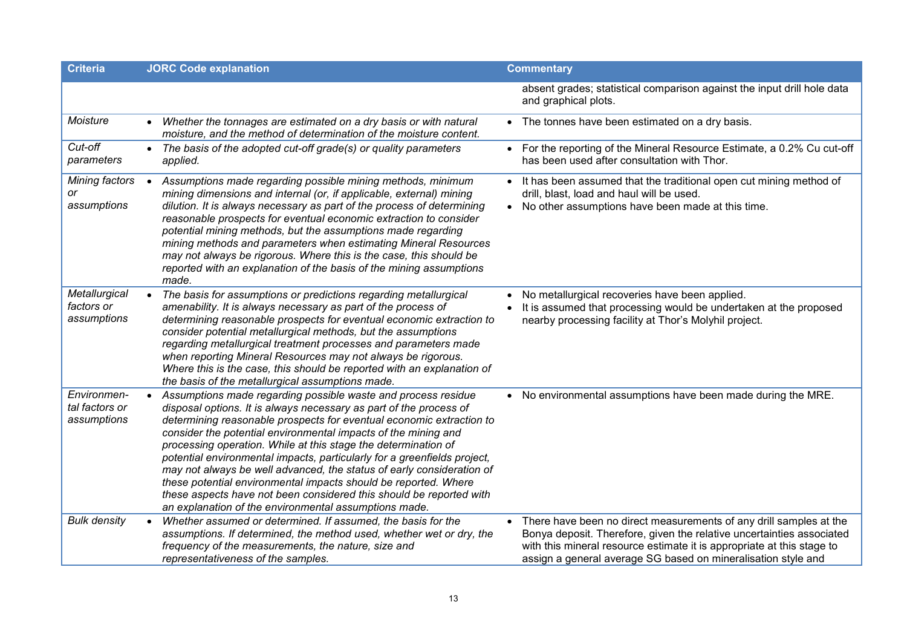| <b>Criteria</b>                              | <b>JORC Code explanation</b>                                                                                                                                                                                                                                                                                                                                                                                                                                                                                                                                                                                                                                                                            | <b>Commentary</b>                                                                                                                                                                                                                                                                      |
|----------------------------------------------|---------------------------------------------------------------------------------------------------------------------------------------------------------------------------------------------------------------------------------------------------------------------------------------------------------------------------------------------------------------------------------------------------------------------------------------------------------------------------------------------------------------------------------------------------------------------------------------------------------------------------------------------------------------------------------------------------------|----------------------------------------------------------------------------------------------------------------------------------------------------------------------------------------------------------------------------------------------------------------------------------------|
|                                              |                                                                                                                                                                                                                                                                                                                                                                                                                                                                                                                                                                                                                                                                                                         | absent grades; statistical comparison against the input drill hole data<br>and graphical plots.                                                                                                                                                                                        |
| Moisture                                     | Whether the tonnages are estimated on a dry basis or with natural<br>moisture, and the method of determination of the moisture content.                                                                                                                                                                                                                                                                                                                                                                                                                                                                                                                                                                 | • The tonnes have been estimated on a dry basis.                                                                                                                                                                                                                                       |
| Cut-off<br>parameters                        | The basis of the adopted cut-off grade(s) or quality parameters<br>applied.                                                                                                                                                                                                                                                                                                                                                                                                                                                                                                                                                                                                                             | For the reporting of the Mineral Resource Estimate, a 0.2% Cu cut-off<br>has been used after consultation with Thor.                                                                                                                                                                   |
| Mining factors<br>or<br>assumptions          | Assumptions made regarding possible mining methods, minimum<br>$\bullet$<br>mining dimensions and internal (or, if applicable, external) mining<br>dilution. It is always necessary as part of the process of determining<br>reasonable prospects for eventual economic extraction to consider<br>potential mining methods, but the assumptions made regarding<br>mining methods and parameters when estimating Mineral Resources<br>may not always be rigorous. Where this is the case, this should be<br>reported with an explanation of the basis of the mining assumptions<br>made.                                                                                                                 | It has been assumed that the traditional open cut mining method of<br>drill, blast, load and haul will be used.<br>No other assumptions have been made at this time.                                                                                                                   |
| Metallurgical<br>factors or<br>assumptions   | The basis for assumptions or predictions regarding metallurgical<br>$\bullet$<br>amenability. It is always necessary as part of the process of<br>determining reasonable prospects for eventual economic extraction to<br>consider potential metallurgical methods, but the assumptions<br>regarding metallurgical treatment processes and parameters made<br>when reporting Mineral Resources may not always be rigorous.<br>Where this is the case, this should be reported with an explanation of<br>the basis of the metallurgical assumptions made.                                                                                                                                                | No metallurgical recoveries have been applied.<br>It is assumed that processing would be undertaken at the proposed<br>nearby processing facility at Thor's Molyhil project.                                                                                                           |
| Environmen-<br>tal factors or<br>assumptions | Assumptions made regarding possible waste and process residue<br>disposal options. It is always necessary as part of the process of<br>determining reasonable prospects for eventual economic extraction to<br>consider the potential environmental impacts of the mining and<br>processing operation. While at this stage the determination of<br>potential environmental impacts, particularly for a greenfields project,<br>may not always be well advanced, the status of early consideration of<br>these potential environmental impacts should be reported. Where<br>these aspects have not been considered this should be reported with<br>an explanation of the environmental assumptions made. | • No environmental assumptions have been made during the MRE.                                                                                                                                                                                                                          |
| <b>Bulk density</b>                          | Whether assumed or determined. If assumed, the basis for the<br>assumptions. If determined, the method used, whether wet or dry, the<br>frequency of the measurements, the nature, size and<br>representativeness of the samples.                                                                                                                                                                                                                                                                                                                                                                                                                                                                       | There have been no direct measurements of any drill samples at the<br>Bonya deposit. Therefore, given the relative uncertainties associated<br>with this mineral resource estimate it is appropriate at this stage to<br>assign a general average SG based on mineralisation style and |